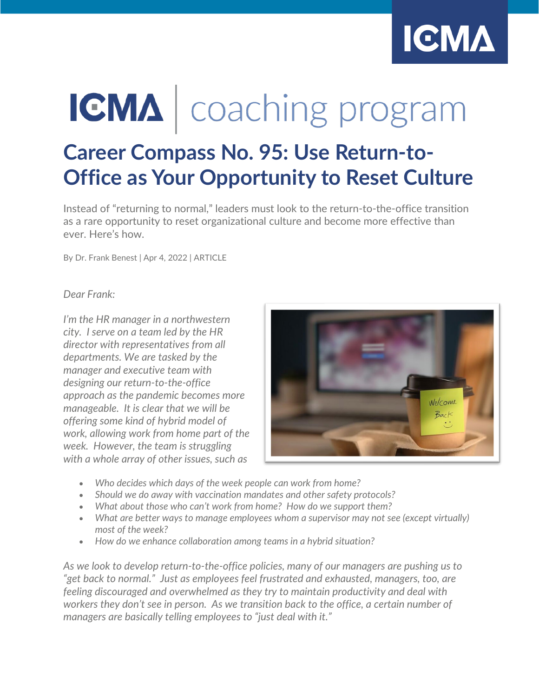

# **IGMA** | coaching program

## **Career Compass No. 95: Use Return-to-Office as Your Opportunity to Reset Culture**

Instead of "returning to normal," leaders must look to the return-to-the-office transition as a rare opportunity to reset organizational culture and become more effective than ever. Here's how.

By Dr. Frank Benest | Apr 4, 2022 | ARTICLE

*Dear Frank:*

*I'm the HR manager in a northwestern city. I serve on a team led by the HR director with representatives from all departments. We are tasked by the manager and executive team with designing our return-to-the-office approach as the pandemic becomes more manageable. It is clear that we will be offering some kind of hybrid model of work, allowing work from home part of the week. However, the team is struggling with a whole array of other issues, such as*



- *Who decides which days of the week people can work from home?*
- *Should we do away with vaccination mandates and other safety protocols?*
- *What about those who can't work from home? How do we support them?*
- *What are better ways to manage employees whom a supervisor may not see (except virtually) most of the week?*
- *How do we enhance collaboration among teams in a hybrid situation?*

*As we look to develop return-to-the-office policies, many of our managers are pushing us to "get back to normal." Just as employees feel frustrated and exhausted, managers, too, are feeling discouraged and overwhelmed as they try to maintain productivity and deal with workers they don't see in person. As we transition back to the office, a certain number of managers are basically telling employees to "just deal with it."*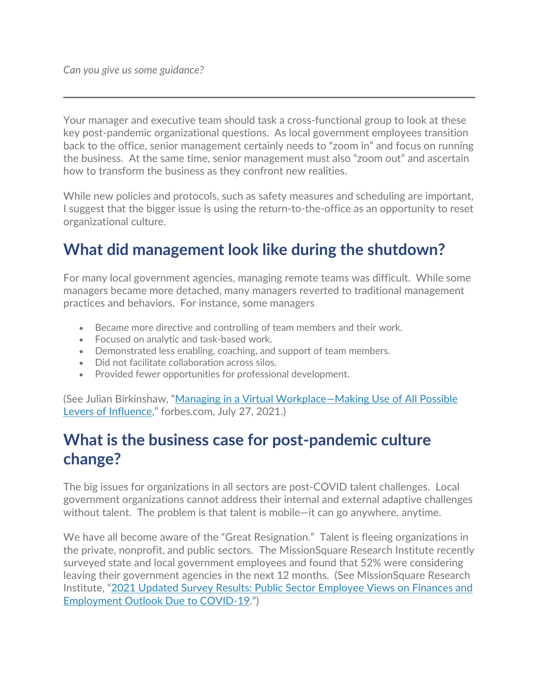Your manager and executive team should task a cross-functional group to look at these key post-pandemic organizational questions. As local government employees transition back to the office, senior management certainly needs to "zoom in" and focus on running the business. At the same time, senior management must also "zoom out" and ascertain how to transform the business as they confront new realities.

While new policies and protocols, such as safety measures and scheduling are important, I suggest that the bigger issue is using the return-to-the-office as an opportunity to reset organizational culture.

## **What did management look like during the shutdown?**

For many local government agencies, managing remote teams was difficult. While some managers became more detached, many managers reverted to traditional management practices and behaviors. For instance, some managers

- Became more directive and controlling of team members and their work.
- Focused on analytic and task-based work.
- Demonstrated less enabling, coaching, and support of team members.
- Did not facilitate collaboration across silos.
- Provided fewer opportunities for professional development.

(See Julian Birkinshaw, ["Managing in a Virtual Workplace—Making Use of All Possible](https://www.forbes.com/sites/lbsbusinessstrategyreview/2021/07/16/managing-in-a-virtual-workplacemaking-use-of-all-possible-levers-of-influence/)  [Levers of Influence,](https://www.forbes.com/sites/lbsbusinessstrategyreview/2021/07/16/managing-in-a-virtual-workplacemaking-use-of-all-possible-levers-of-influence/)" forbes.com, July 27, 2021.)

## **What is the business case for post-pandemic culture change?**

The big issues for organizations in all sectors are post-COVID talent challenges. Local government organizations cannot address their internal and external adaptive challenges without talent. The problem is that talent is mobile—it can go anywhere, anytime.

We have all become aware of the "Great Resignation." Talent is fleeing organizations in the private, nonprofit, and public sectors. The MissionSquare Research Institute recently surveyed state and local government employees and found that 52% were considering leaving their government agencies in the next 12 months. (See MissionSquare Research Institute, "2021 Updated Survey Results: [Public Sector Employee Views on Finances and](https://slge.org/wp-content/uploads/2021/07/2021-updated-survey-results-public-employees-and-covid.pdf)  [Employment Outlook Due to COVID-19.](https://slge.org/wp-content/uploads/2021/07/2021-updated-survey-results-public-employees-and-covid.pdf)")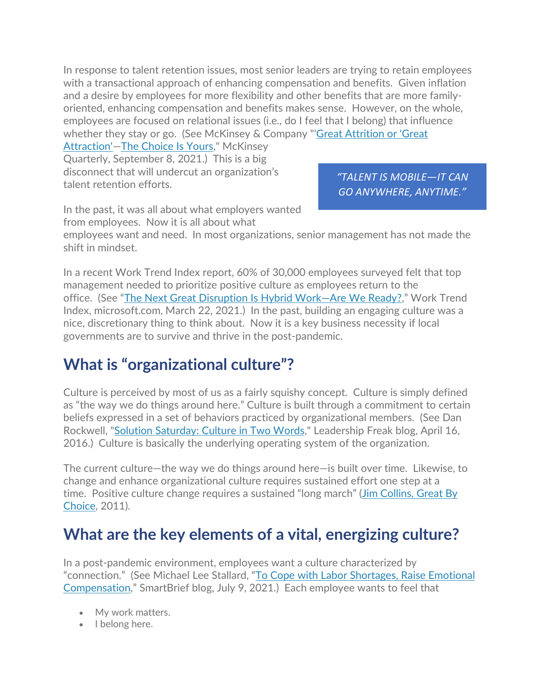In response to talent retention issues, most senior leaders are trying to retain employees with a transactional approach of enhancing compensation and benefits. Given inflation and a desire by employees for more flexibility and other benefits that are more familyoriented, enhancing compensation and benefits makes sense. However, on the whole, employees are focused on relational issues (i.e., do I feel that I belong) that influence whether they stay or go. (See McKinsey & Company "['Great Attrition or 'Great](https://www.mckinsey.com/business-functions/people-and-organizational-performance/our-insights/great-attrition-or-great-attraction-the-choice-is-yours) 

Attraction'-The Choice Is Yours," McKinsey Quarterly, September 8, 2021.) This is a big disconnect that will undercut an organization's talent retention efforts.

*"TALENT IS MOBILE—IT CAN GO ANYWHERE, ANYTIME."* 

In the past, it was all about what employers wanted from employees. Now it is all about what

employees want and need. In most organizations, senior management has not made the shift in mindset.

In a recent Work Trend Index report, 60% of 30,000 employees surveyed felt that top management needed to prioritize positive culture as employees return to the office. (See ["The Next Great Disruption Is Hybrid Work—Are We Ready?,](https://www.microsoft.com/en-us/worklab/work-trend-index/hybrid-work)" Work Trend Index, microsoft.com, March 22, 2021.) In the past, building an engaging culture was a nice, discretionary thing to think about. Now it is a key business necessity if local governments are to survive and thrive in the post-pandemic.

## **What is "organizational culture"?**

Culture is perceived by most of us as a fairly squishy concept. Culture is simply defined as "the way we do things around here." Culture is built through a commitment to certain beliefs expressed in a set of behaviors practiced by organizational members. (See Dan Rockwell, ["Solution Saturday: Culture in Two Words,](https://leadershipfreak.blog/2016/04/16/solution-saturday-culture-in-two-words/)" Leadership Freak blog, April 16, 2016.) Culture is basically the underlying operating system of the organization.

The current culture—the way we do things around here—is built over time. Likewise, to change and enhance organizational culture requires sustained effort one step at a time. Positive culture change requires a sustained "long march" (Jim Collins, Great By [Choice,](https://www.jimcollins.com/books/great-by-choice.html) 2011).

## **What are the key elements of a vital, energizing culture?**

In a post-pandemic environment, employees want a culture characterized by "connection." (See Michael Lee Stallard, ["To Cope with Labor Shortages, Raise Emotional](https://corp.smartbrief.com/original/2021/07/cope-labor-shortages-raise-emotional-compensation)  [Compensation,](https://corp.smartbrief.com/original/2021/07/cope-labor-shortages-raise-emotional-compensation)" SmartBrief blog, July 9, 2021.) Each employee wants to feel that

- My work matters.
- I belong here.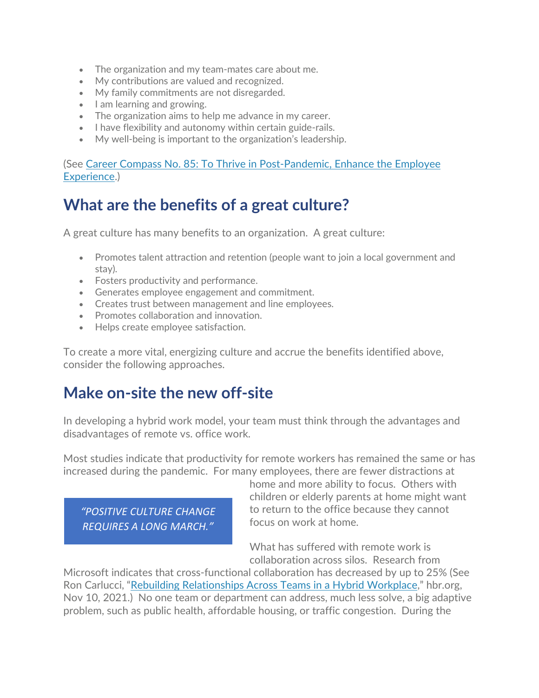- The organization and my team-mates care about me.
- My contributions are valued and recognized.
- My family commitments are not disregarded.
- I am learning and growing.
- The organization aims to help me advance in my career.
- I have flexibility and autonomy within certain guide-rails.
- My well-being is important to the organization's leadership.

(See [Career Compass No. 85: To Thrive in Post-Pandemic, Enhance the Employee](https://icma.org/articles/article/career-compass-no-85-thrive-post-pandemic-enhance-employee-experience)  [Experience.](https://icma.org/articles/article/career-compass-no-85-thrive-post-pandemic-enhance-employee-experience))

## **What are the benefits of a great culture?**

A great culture has many benefits to an organization. A great culture:

- Promotes talent attraction and retention (people want to join a local government and stay).
- Fosters productivity and performance.
- Generates employee engagement and commitment.
- Creates trust between management and line employees.
- Promotes collaboration and innovation.
- Helps create employee satisfaction.

To create a more vital, energizing culture and accrue the benefits identified above, consider the following approaches.

### **Make on-site the new off-site**

In developing a hybrid work model, your team must think through the advantages and disadvantages of remote vs. office work.

Most studies indicate that productivity for remote workers has remained the same or has increased during the pandemic. For many employees, there are fewer distractions at

*"POSITIVE CULTURE CHANGE REQUIRES A LONG MARCH."* 

home and more ability to focus. Others with children or elderly parents at home might want to return to the office because they cannot focus on work at home.

What has suffered with remote work is collaboration across silos. Research from

Microsoft indicates that cross-functional collaboration has decreased by up to 25% (See Ron Carlucci, ["Rebuilding Relationships Across Teams in a Hybrid Workplace,](https://hbr.org/2021/11/rebuilding-relationships-across-teams-in-a-hybrid-workplace)" hbr.org, Nov 10, 2021.) No one team or department can address, much less solve, a big adaptive problem, such as public health, affordable housing, or traffic congestion. During the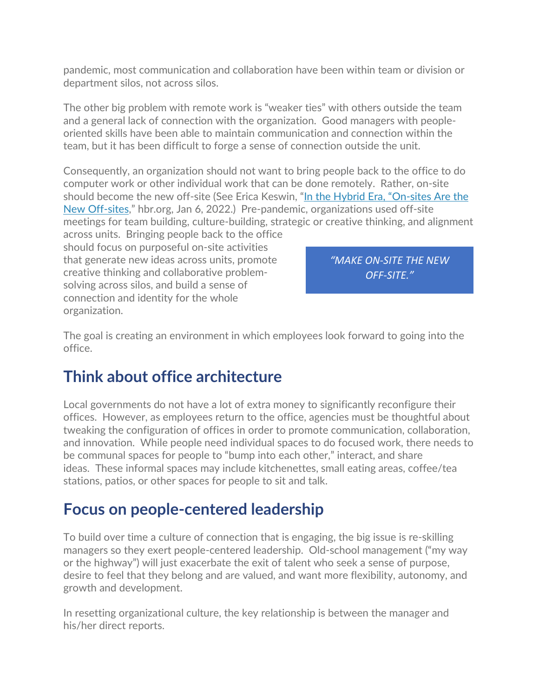pandemic, most communication and collaboration have been within team or division or department silos, not across silos.

The other big problem with remote work is "weaker ties" with others outside the team and a general lack of connection with the organization. Good managers with peopleoriented skills have been able to maintain communication and connection within the team, but it has been difficult to forge a sense of connection outside the unit.

Consequently, an organization should not want to bring people back to the office to do computer work or other individual work that can be done remotely. Rather, on-site should become the new off-site (See Erica Keswin, ["In the Hybrid Era, "On-sites Are the](https://hbr.org/2022/01/in-the-hybrid-era-on-sites-are-the-new-off-sites)  [New Off-sites,](https://hbr.org/2022/01/in-the-hybrid-era-on-sites-are-the-new-off-sites)" hbr.org, Jan 6, 2022.) Pre-pandemic, organizations used off-site meetings for team building, culture-building, strategic or creative thinking, and alignment

across units. Bringing people back to the office should focus on purposeful on-site activities that generate new ideas across units, promote creative thinking and collaborative problemsolving across silos, and build a sense of connection and identity for the whole organization.

*"MAKE ON-SITE THE NEW OFF-SITE."* 

The goal is creating an environment in which employees look forward to going into the office.

## **Think about office architecture**

Local governments do not have a lot of extra money to significantly reconfigure their offices. However, as employees return to the office, agencies must be thoughtful about tweaking the configuration of offices in order to promote communication, collaboration, and innovation. While people need individual spaces to do focused work, there needs to be communal spaces for people to "bump into each other," interact, and share ideas. These informal spaces may include kitchenettes, small eating areas, coffee/tea stations, patios, or other spaces for people to sit and talk.

## **Focus on people-centered leadership**

To build over time a culture of connection that is engaging, the big issue is re-skilling managers so they exert people-centered leadership. Old-school management ("my way or the highway") will just exacerbate the exit of talent who seek a sense of purpose, desire to feel that they belong and are valued, and want more flexibility, autonomy, and growth and development.

In resetting organizational culture, the key relationship is between the manager and his/her direct reports.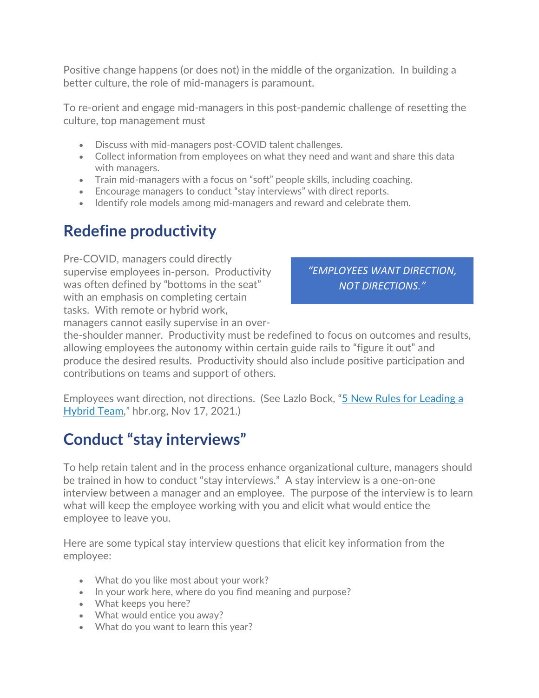Positive change happens (or does not) in the middle of the organization. In building a better culture, the role of mid-managers is paramount.

To re-orient and engage mid-managers in this post-pandemic challenge of resetting the culture, top management must

- Discuss with mid-managers post-COVID talent challenges.
- Collect information from employees on what they need and want and share this data with managers.
- Train mid-managers with a focus on "soft" people skills, including coaching.
- Encourage managers to conduct "stay interviews" with direct reports.
- Identify role models among mid-managers and reward and celebrate them.

## **Redefine productivity**

Pre-COVID, managers could directly supervise employees in-person. Productivity was often defined by "bottoms in the seat" with an emphasis on completing certain tasks. With remote or hybrid work, managers cannot easily supervise in an over-

*"EMPLOYEES WANT DIRECTION, NOT DIRECTIONS."* 

the-shoulder manner. Productivity must be redefined to focus on outcomes and results, allowing employees the autonomy within certain guide rails to "figure it out" and produce the desired results. Productivity should also include positive participation and contributions on teams and support of others.

Employees want direction, not directions. (See Lazlo Bock, ["5 New Rules for Leading a](https://hbr.org/2021/11/5-new-rules-for-leading-a-hybrid-team)  [Hybrid Team,](https://hbr.org/2021/11/5-new-rules-for-leading-a-hybrid-team)" hbr.org, Nov 17, 2021.)

## **Conduct "stay interviews"**

To help retain talent and in the process enhance organizational culture, managers should be trained in how to conduct "stay interviews." A stay interview is a one-on-one interview between a manager and an employee. The purpose of the interview is to learn what will keep the employee working with you and elicit what would entice the employee to leave you.

Here are some typical stay interview questions that elicit key information from the employee:

- What do you like most about your work?
- In your work here, where do you find meaning and purpose?
- What keeps you here?
- What would entice you away?
- What do you want to learn this year?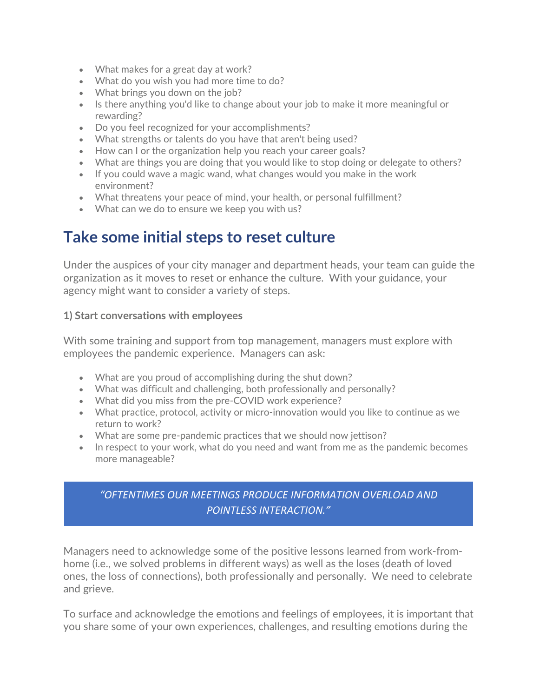- What makes for a great day at work?
- What do you wish you had more time to do?
- What brings you down on the job?
- Is there anything you'd like to change about your job to make it more meaningful or rewarding?
- Do you feel recognized for your accomplishments?
- What strengths or talents do you have that aren't being used?
- How can I or the organization help you reach your career goals?
- What are things you are doing that you would like to stop doing or delegate to others?
- If you could wave a magic wand, what changes would you make in the work environment?
- What threatens your peace of mind, your health, or personal fulfillment?
- What can we do to ensure we keep you with us?

## **Take some initial steps to reset culture**

Under the auspices of your city manager and department heads, your team can guide the organization as it moves to reset or enhance the culture. With your guidance, your agency might want to consider a variety of steps.

#### **1) Start conversations with employees**

With some training and support from top management, managers must explore with employees the pandemic experience. Managers can ask:

- What are you proud of accomplishing during the shut down?
- What was difficult and challenging, both professionally and personally?
- What did you miss from the pre-COVID work experience?
- What practice, protocol, activity or micro-innovation would you like to continue as we return to work?
- What are some pre-pandemic practices that we should now jettison?
- In respect to your work, what do you need and want from me as the pandemic becomes more manageable?

#### *"OFTENTIMES OUR MEETINGS PRODUCE INFORMATION OVERLOAD AND POINTLESS INTERACTION."*

Managers need to acknowledge some of the positive lessons learned from work-fromhome (i.e., we solved problems in different ways) as well as the loses (death of loved ones, the loss of connections), both professionally and personally. We need to celebrate and grieve.

To surface and acknowledge the emotions and feelings of employees, it is important that you share some of your own experiences, challenges, and resulting emotions during the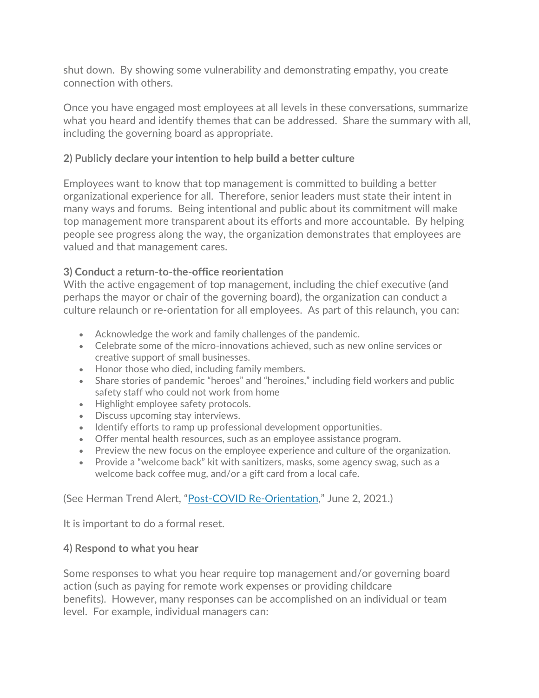shut down. By showing some vulnerability and demonstrating empathy, you create connection with others.

Once you have engaged most employees at all levels in these conversations, summarize what you heard and identify themes that can be addressed. Share the summary with all, including the governing board as appropriate.

#### **2) Publicly declare your intention to help build a better culture**

Employees want to know that top management is committed to building a better organizational experience for all. Therefore, senior leaders must state their intent in many ways and forums. Being intentional and public about its commitment will make top management more transparent about its efforts and more accountable. By helping people see progress along the way, the organization demonstrates that employees are valued and that management cares.

#### **3) Conduct a return-to-the-office reorientation**

With the active engagement of top management, including the chief executive (and perhaps the mayor or chair of the governing board), the organization can conduct a culture relaunch or re-orientation for all employees. As part of this relaunch, you can:

- Acknowledge the work and family challenges of the pandemic.
- Celebrate some of the micro-innovations achieved, such as new online services or creative support of small businesses.
- Honor those who died, including family members.
- Share stories of pandemic "heroes" and "heroines," including field workers and public safety staff who could not work from home
- Highlight employee safety protocols.
- Discuss upcoming stay interviews.
- Identify efforts to ramp up professional development opportunities.
- Offer mental health resources, such as an employee assistance program.
- Preview the new focus on the employee experience and culture of the organization.
- Provide a "welcome back" kit with sanitizers, masks, some agency swag, such as a welcome back coffee mug, and/or a gift card from a local cafe.

#### (See Herman Trend Alert, ["Post-COVID Re-Orientation,](https://hermangroup.com/alert/archive_6-2-2021.html)" June 2, 2021.)

It is important to do a formal reset.

#### **4) Respond to what you hear**

Some responses to what you hear require top management and/or governing board action (such as paying for remote work expenses or providing childcare benefits). However, many responses can be accomplished on an individual or team level. For example, individual managers can: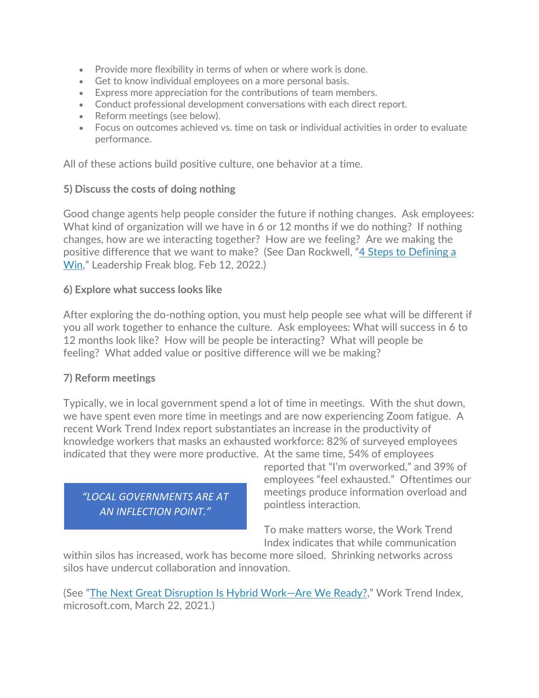- Provide more flexibility in terms of when or where work is done.
- Get to know individual employees on a more personal basis.
- Express more appreciation for the contributions of team members.
- Conduct professional development conversations with each direct report.
- Reform meetings (see below).
- Focus on outcomes achieved vs. time on task or individual activities in order to evaluate performance.

All of these actions build positive culture, one behavior at a time.

#### **5) Discuss the costs of doing nothing**

Good change agents help people consider the future if nothing changes. Ask employees: What kind of organization will we have in 6 or 12 months if we do nothing? If nothing changes, how are we interacting together? How are we feeling? Are we making the positive difference that we want to make? (See Dan Rockwell, ["4 Steps to Defining a](https://leadershipfreak.blog/2022/02/11/4-steps-to-defining-the-win/)  [Win,](https://leadershipfreak.blog/2022/02/11/4-steps-to-defining-the-win/)" Leadership Freak blog. Feb 12, 2022.)

#### **6) Explore what success looks like**

After exploring the do-nothing option, you must help people see what will be different if you all work together to enhance the culture. Ask employees: What will success in 6 to 12 months look like? How will be people be interacting? What will people be feeling? What added value or positive difference will we be making?

#### **7) Reform meetings**

Typically, we in local government spend a lot of time in meetings. With the shut down, we have spent even more time in meetings and are now experiencing Zoom fatigue. A recent Work Trend Index report substantiates an increase in the productivity of knowledge workers that masks an exhausted workforce: 82% of surveyed employees indicated that they were more productive. At the same time, 54% of employees

*"LOCAL GOVERNMENTS ARE AT AN INFLECTION POINT."* 

reported that "I'm overworked," and 39% of employees "feel exhausted." Oftentimes our meetings produce information overload and pointless interaction.

To make matters worse, the Work Trend Index indicates that while communication

within silos has increased, work has become more siloed. Shrinking networks across silos have undercut collaboration and innovation.

(See ["The Next Great Disruption Is Hybrid Work—Are We Ready?,](https://www.microsoft.com/en-us/worklab/work-trend-index/hybrid-work)" Work Trend Index, microsoft.com, March 22, 2021.)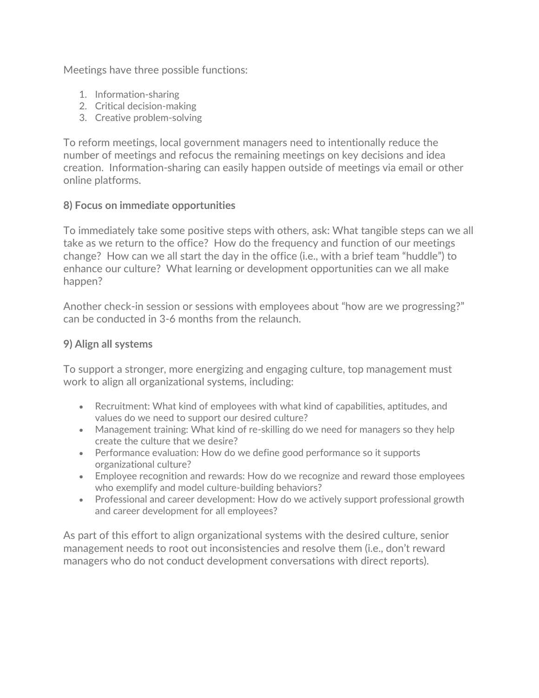Meetings have three possible functions:

- 1. Information-sharing
- 2. Critical decision-making
- 3. Creative problem-solving

To reform meetings, local government managers need to intentionally reduce the number of meetings and refocus the remaining meetings on key decisions and idea creation. Information-sharing can easily happen outside of meetings via email or other online platforms.

#### **8) Focus on immediate opportunities**

To immediately take some positive steps with others, ask: What tangible steps can we all take as we return to the office? How do the frequency and function of our meetings change? How can we all start the day in the office (i.e., with a brief team "huddle") to enhance our culture? What learning or development opportunities can we all make happen?

Another check-in session or sessions with employees about "how are we progressing?" can be conducted in 3-6 months from the relaunch.

#### **9) Align all systems**

To support a stronger, more energizing and engaging culture, top management must work to align all organizational systems, including:

- Recruitment: What kind of employees with what kind of capabilities, aptitudes, and values do we need to support our desired culture?
- Management training: What kind of re-skilling do we need for managers so they help create the culture that we desire?
- Performance evaluation: How do we define good performance so it supports organizational culture?
- Employee recognition and rewards: How do we recognize and reward those employees who exemplify and model culture-building behaviors?
- Professional and career development: How do we actively support professional growth and career development for all employees?

As part of this effort to align organizational systems with the desired culture, senior management needs to root out inconsistencies and resolve them (i.e., don't reward managers who do not conduct development conversations with direct reports).